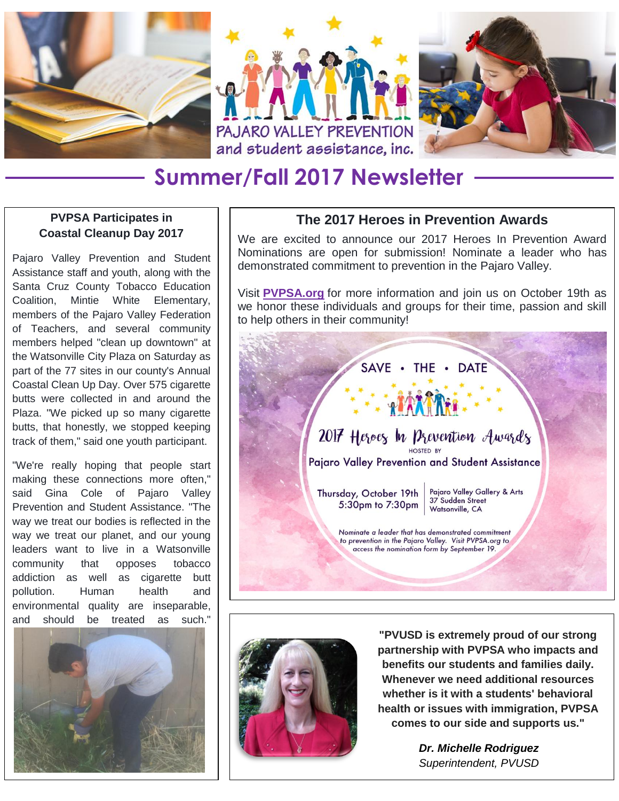



## **Summer/Fall 2017 Newsletter**

## **PVPSA Participates in Coastal Cleanup Day 2017**

Pajaro Valley Prevention and Student Assistance staff and youth, along with the Santa Cruz County Tobacco Education Coalition, Mintie White Elementary, members of the Pajaro Valley Federation of Teachers, and several community members helped "clean up downtown" at the Watsonville City Plaza on Saturday as part of the 77 sites in our county's Annual Coastal Clean Up Day. Over 575 cigarette butts were collected in and around the Plaza. "We picked up so many cigarette butts, that honestly, we stopped keeping track of them," said one youth participant.

"We're really hoping that people start making these connections more often," said Gina Cole of Pajaro Valley Prevention and Student Assistance. "The way we treat our bodies is reflected in the way we treat our planet, and our young leaders want to live in a Watsonville community that opposes tobacco addiction as well as cigarette butt pollution. Human health and environmental quality are inseparable, and should be treated as such."



## **The 2017 Heroes in Prevention Awards**

We are excited to announce our 2017 Heroes In Prevention Award Nominations are open for submission! Nominate a leader who has demonstrated commitment to prevention in the Pajaro Valley.

Visit **[PVPSA.org](http://pvpsa.org/)** for more information and join us on October 19th as we honor these individuals and groups for their time, passion and skill to help others in their community!





**"PVUSD is extremely proud of our strong partnership with PVPSA who impacts and benefits our students and families daily. Whenever we need additional resources whether is it with a students' behavioral health or issues with immigration, PVPSA comes to our side and supports us."**

> *Dr. Michelle Rodriguez Superintendent, PVUSD*